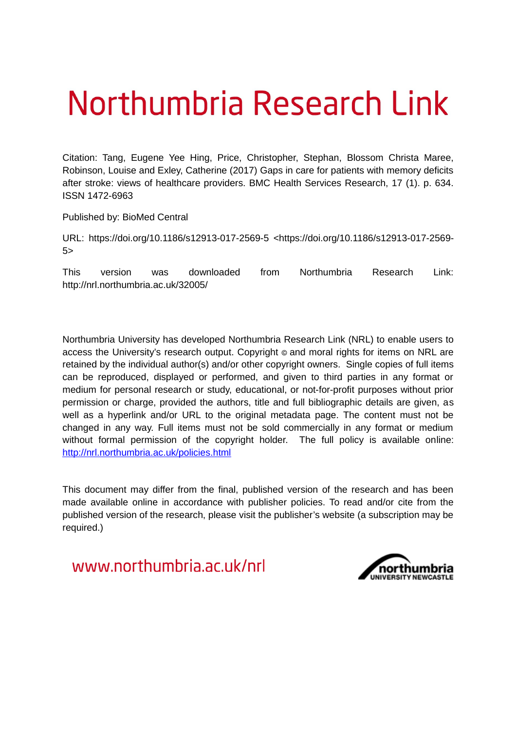# Northumbria Research Link

Citation: Tang, Eugene Yee Hing, Price, Christopher, Stephan, Blossom Christa Maree, Robinson, Louise and Exley, Catherine (2017) Gaps in care for patients with memory deficits after stroke: views of healthcare providers. BMC Health Services Research, 17 (1). p. 634. ISSN 1472-6963

Published by: BioMed Central

URL: https://doi.org/10.1186/s12913-017-2569-5 <https://doi.org/10.1186/s12913-017-2569- 5>

This version was downloaded from Northumbria Research Link: http://nrl.northumbria.ac.uk/32005/

Northumbria University has developed Northumbria Research Link (NRL) to enable users to access the University's research output. Copyright  $\circ$  and moral rights for items on NRL are retained by the individual author(s) and/or other copyright owners. Single copies of full items can be reproduced, displayed or performed, and given to third parties in any format or medium for personal research or study, educational, or not-for-profit purposes without prior permission or charge, provided the authors, title and full bibliographic details are given, as well as a hyperlink and/or URL to the original metadata page. The content must not be changed in any way. Full items must not be sold commercially in any format or medium without formal permission of the copyright holder. The full policy is available online: <http://nrl.northumbria.ac.uk/policies.html>

This document may differ from the final, published version of the research and has been made available online in accordance with publisher policies. To read and/or cite from the published version of the research, please visit the publisher's website (a subscription may be required.)

www.northumbria.ac.uk/nrl

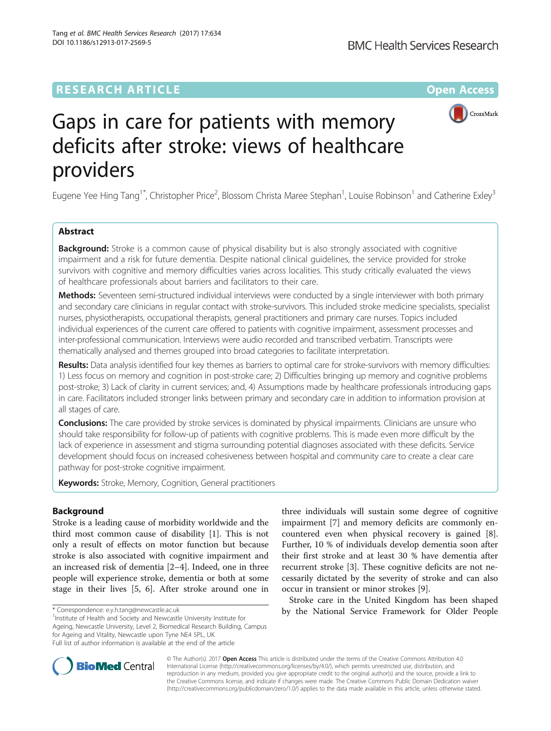# **RESEARCH ARTICLE Example 2014 12:30 The Community Community Community Community Community Community Community**



# Gaps in care for patients with memory deficits after stroke: views of healthcare providers

Eugene Yee Hing Tang<sup>1\*</sup>, Christopher Price<sup>2</sup>, Blossom Christa Maree Stephan<sup>1</sup>, Louise Robinson<sup>1</sup> and Catherine Exley<sup>3</sup>

# Abstract

**Background:** Stroke is a common cause of physical disability but is also strongly associated with cognitive impairment and a risk for future dementia. Despite national clinical guidelines, the service provided for stroke survivors with cognitive and memory difficulties varies across localities. This study critically evaluated the views of healthcare professionals about barriers and facilitators to their care.

Methods: Seventeen semi-structured individual interviews were conducted by a single interviewer with both primary and secondary care clinicians in regular contact with stroke-survivors. This included stroke medicine specialists, specialist nurses, physiotherapists, occupational therapists, general practitioners and primary care nurses. Topics included individual experiences of the current care offered to patients with cognitive impairment, assessment processes and inter-professional communication. Interviews were audio recorded and transcribed verbatim. Transcripts were thematically analysed and themes grouped into broad categories to facilitate interpretation.

Results: Data analysis identified four key themes as barriers to optimal care for stroke-survivors with memory difficulties: 1) Less focus on memory and cognition in post-stroke care; 2) Difficulties bringing up memory and cognitive problems post-stroke; 3) Lack of clarity in current services; and, 4) Assumptions made by healthcare professionals introducing gaps in care. Facilitators included stronger links between primary and secondary care in addition to information provision at all stages of care.

**Conclusions:** The care provided by stroke services is dominated by physical impairments. Clinicians are unsure who should take responsibility for follow-up of patients with cognitive problems. This is made even more difficult by the lack of experience in assessment and stigma surrounding potential diagnoses associated with these deficits. Service development should focus on increased cohesiveness between hospital and community care to create a clear care pathway for post-stroke cognitive impairment.

Keywords: Stroke, Memory, Cognition, General practitioners

# Background

Stroke is a leading cause of morbidity worldwide and the third most common cause of disability [\[1](#page-8-0)]. This is not only a result of effects on motor function but because stroke is also associated with cognitive impairment and an increased risk of dementia [[2](#page-8-0)–[4](#page-9-0)]. Indeed, one in three people will experience stroke, dementia or both at some stage in their lives [\[5](#page-9-0), [6](#page-9-0)]. After stroke around one in

<sup>1</sup>Institute of Health and Society and Newcastle University Institute for Ageing, Newcastle University, Level 2, Biomedical Research Building, Campus for Ageing and Vitality, Newcastle upon Tyne NE4 5PL, UK Full list of author information is available at the end of the article

three individuals will sustain some degree of cognitive impairment [[7](#page-9-0)] and memory deficits are commonly encountered even when physical recovery is gained [\[8](#page-9-0)]. Further, 10 % of individuals develop dementia soon after their first stroke and at least 30 % have dementia after recurrent stroke [\[3\]](#page-8-0). These cognitive deficits are not necessarily dictated by the severity of stroke and can also occur in transient or minor strokes [\[9\]](#page-9-0).

Stroke care in the United Kingdom has been shaped \* Correspondence: [e.y.h.tang@newcastle.ac.uk](mailto:e.y.h.tang@newcastle.ac.uk) by the National Service Framework for Older People <sup>1</sup>



© The Author(s). 2017 **Open Access** This article is distributed under the terms of the Creative Commons Attribution 4.0 International License [\(http://creativecommons.org/licenses/by/4.0/](http://creativecommons.org/licenses/by/4.0/)), which permits unrestricted use, distribution, and reproduction in any medium, provided you give appropriate credit to the original author(s) and the source, provide a link to the Creative Commons license, and indicate if changes were made. The Creative Commons Public Domain Dedication waiver [\(http://creativecommons.org/publicdomain/zero/1.0/](http://creativecommons.org/publicdomain/zero/1.0/)) applies to the data made available in this article, unless otherwise stated.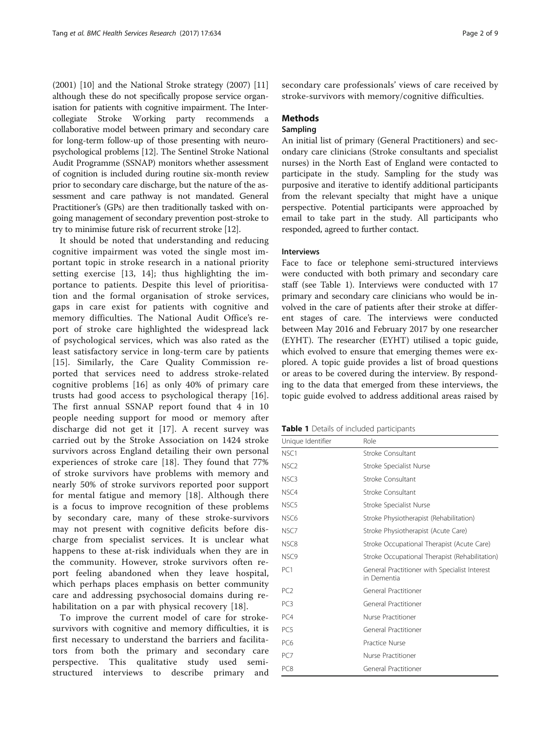(2001) [\[10](#page-9-0)] and the National Stroke strategy (2007) [[11](#page-9-0)] although these do not specifically propose service organisation for patients with cognitive impairment. The Intercollegiate Stroke Working party recommends a collaborative model between primary and secondary care for long-term follow-up of those presenting with neuropsychological problems [\[12\]](#page-9-0). The Sentinel Stroke National Audit Programme (SSNAP) monitors whether assessment of cognition is included during routine six-month review prior to secondary care discharge, but the nature of the assessment and care pathway is not mandated. General Practitioner's (GPs) are then traditionally tasked with ongoing management of secondary prevention post-stroke to try to minimise future risk of recurrent stroke [[12](#page-9-0)].

It should be noted that understanding and reducing cognitive impairment was voted the single most important topic in stroke research in a national priority setting exercise [\[13, 14](#page-9-0)]; thus highlighting the importance to patients. Despite this level of prioritisation and the formal organisation of stroke services, gaps in care exist for patients with cognitive and memory difficulties. The National Audit Office's report of stroke care highlighted the widespread lack of psychological services, which was also rated as the least satisfactory service in long-term care by patients [[15](#page-9-0)]. Similarly, the Care Quality Commission reported that services need to address stroke-related cognitive problems [[16\]](#page-9-0) as only 40% of primary care trusts had good access to psychological therapy [[16](#page-9-0)]. The first annual SSNAP report found that 4 in 10 people needing support for mood or memory after discharge did not get it [\[17](#page-9-0)]. A recent survey was carried out by the Stroke Association on 1424 stroke survivors across England detailing their own personal experiences of stroke care [[18](#page-9-0)]. They found that 77% of stroke survivors have problems with memory and nearly 50% of stroke survivors reported poor support for mental fatigue and memory [[18](#page-9-0)]. Although there is a focus to improve recognition of these problems by secondary care, many of these stroke-survivors may not present with cognitive deficits before discharge from specialist services. It is unclear what happens to these at-risk individuals when they are in the community. However, stroke survivors often report feeling abandoned when they leave hospital, which perhaps places emphasis on better community care and addressing psychosocial domains during re-habilitation on a par with physical recovery [[18](#page-9-0)].

To improve the current model of care for strokesurvivors with cognitive and memory difficulties, it is first necessary to understand the barriers and facilitators from both the primary and secondary care perspective. This qualitative study used semistructured interviews to describe primary and secondary care professionals' views of care received by stroke-survivors with memory/cognitive difficulties.

# Methods

# Sampling

An initial list of primary (General Practitioners) and secondary care clinicians (Stroke consultants and specialist nurses) in the North East of England were contacted to participate in the study. Sampling for the study was purposive and iterative to identify additional participants from the relevant specialty that might have a unique perspective. Potential participants were approached by email to take part in the study. All participants who responded, agreed to further contact.

#### Interviews

Face to face or telephone semi-structured interviews were conducted with both primary and secondary care staff (see Table 1). Interviews were conducted with 17 primary and secondary care clinicians who would be involved in the care of patients after their stroke at different stages of care. The interviews were conducted between May 2016 and February 2017 by one researcher (EYHT). The researcher (EYHT) utilised a topic guide, which evolved to ensure that emerging themes were explored. A topic guide provides a list of broad questions or areas to be covered during the interview. By responding to the data that emerged from these interviews, the topic guide evolved to address additional areas raised by

Table 1 Details of included participants

| Unique Identifier | Role                                                         |
|-------------------|--------------------------------------------------------------|
| NSC <sub>1</sub>  | Stroke Consultant                                            |
| NSC <sub>2</sub>  | Stroke Specialist Nurse                                      |
| NSC <sub>3</sub>  | Stroke Consultant                                            |
| NSC4              | Stroke Consultant                                            |
| NSC <sub>5</sub>  | Stroke Specialist Nurse                                      |
| NSC <sub>6</sub>  | Stroke Physiotherapist (Rehabilitation)                      |
| NSC <sub>7</sub>  | Stroke Physiotherapist (Acute Care)                          |
| NSC <sub>8</sub>  | Stroke Occupational Therapist (Acute Care)                   |
| NSC <sub>9</sub>  | Stroke Occupational Therapist (Rehabilitation)               |
| PC <sub>1</sub>   | General Practitioner with Specialist Interest<br>in Dementia |
| PC <sub>2</sub>   | General Practitioner                                         |
| PC <sub>3</sub>   | General Practitioner                                         |
| PC <sub>4</sub>   | Nurse Practitioner                                           |
| PC5               | General Practitioner                                         |
| PC <sub>6</sub>   | Practice Nurse                                               |
| PC <sub>7</sub>   | Nurse Practitioner                                           |
| PC <sub>8</sub>   | General Practitioner                                         |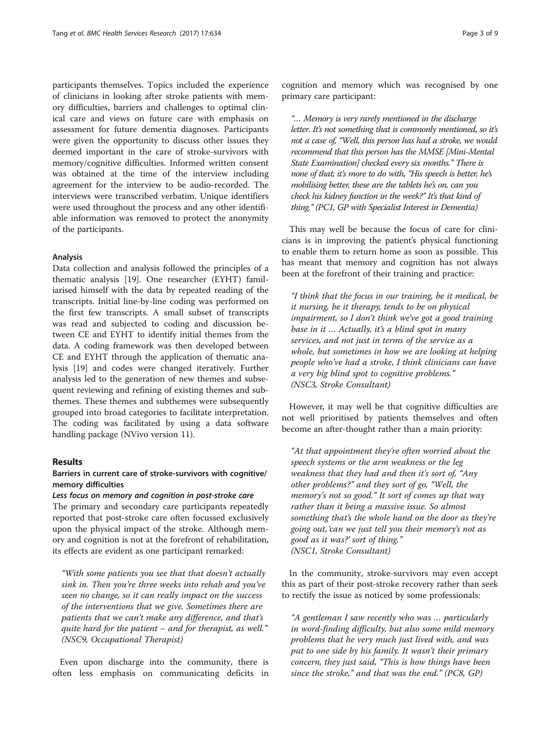participants themselves. Topics included the experience of clinicians in looking after stroke patients with memory difficulties, barriers and challenges to optimal clinical care and views on future care with emphasis on assessment for future dementia diagnoses. Participants were given the opportunity to discuss other issues they deemed important in the care of stroke-survivors with memory/cognitive difficulties. Informed written consent was obtained at the time of the interview including agreement for the interview to be audio-recorded. The interviews were transcribed verbatim. Unique identifiers were used throughout the process and any other identifiable information was removed to protect the anonymity of the participants.

## Analysis

Data collection and analysis followed the principles of a thematic analysis [[19](#page-9-0)]. One researcher (EYHT) familiarised himself with the data by repeated reading of the transcripts. Initial line-by-line coding was performed on the first few transcripts. A small subset of transcripts was read and subjected to coding and discussion between CE and EYHT to identify initial themes from the data. A coding framework was then developed between CE and EYHT through the application of thematic analysis [\[19\]](#page-9-0) and codes were changed iteratively. Further analysis led to the generation of new themes and subsequent reviewing and refining of existing themes and subthemes. These themes and subthemes were subsequently grouped into broad categories to facilitate interpretation. The coding was facilitated by using a data software handling package (NVivo version 11).

# Results

# Barriers in current care of stroke-survivors with cognitive/ memory difficulties

Less focus on memory and cognition in post-stroke care The primary and secondary care participants repeatedly reported that post-stroke care often focussed exclusively upon the physical impact of the stroke. Although memory and cognition is not at the forefront of rehabilitation, its effects are evident as one participant remarked:

"With some patients you see that that doesn't actually sink in. Then you're three weeks into rehab and you've seen no change, so it can really impact on the success of the interventions that we give. Sometimes there are patients that we can't make any difference, and that's quite hard for the patient – and for therapist, as well." (NSC9, Occupational Therapist)

Even upon discharge into the community, there is often less emphasis on communicating deficits in cognition and memory which was recognised by one primary care participant:

"… Memory is very rarely mentioned in the discharge letter. It's not something that is commonly mentioned, so it's not a case of, "Well, this person has had a stroke, we would recommend that this person has the MMSE [Mini-Mental State Examination] checked every six months." There is none of that; it's more to do with, "His speech is better, he's mobilising better, these are the tablets he's on, can you check his kidney function in the week?" It's that kind of thing." (PC1, GP with Specialist Interest in Dementia)

This may well be because the focus of care for clinicians is in improving the patient's physical functioning to enable them to return home as soon as possible. This has meant that memory and cognition has not always been at the forefront of their training and practice:

"I think that the focus in our training, be it medical, be it nursing, be it therapy, tends to be on physical impairment, so I don't think we've got a good training base in it … Actually, it's a blind spot in many services, and not just in terms of the service as a whole, but sometimes in how we are looking at helping people who've had a stroke, I think clinicians can have a very big blind spot to cognitive problems." (NSC3, Stroke Consultant)

However, it may well be that cognitive difficulties are not well prioritised by patients themselves and often become an after-thought rather than a main priority:

"At that appointment they're often worried about the speech systems or the arm weakness or the leg weakness that they had and then it's sort of, "Any other problems?" and they sort of go, "Well, the memory's not so good." It sort of comes up that way rather than it being a massive issue. So almost something that's the whole hand on the door as they're going out, 'can we just tell you their memory's not as good as it was?' sort of thing." (NSC1, Stroke Consultant)

In the community, stroke-survivors may even accept this as part of their post-stroke recovery rather than seek to rectify the issue as noticed by some professionals:

"A gentleman I saw recently who was … particularly in word-finding difficulty, but also some mild memory problems that he very much just lived with, and was put to one side by his family. It wasn't their primary concern, they just said, "This is how things have been since the stroke," and that was the end." (PC8, GP)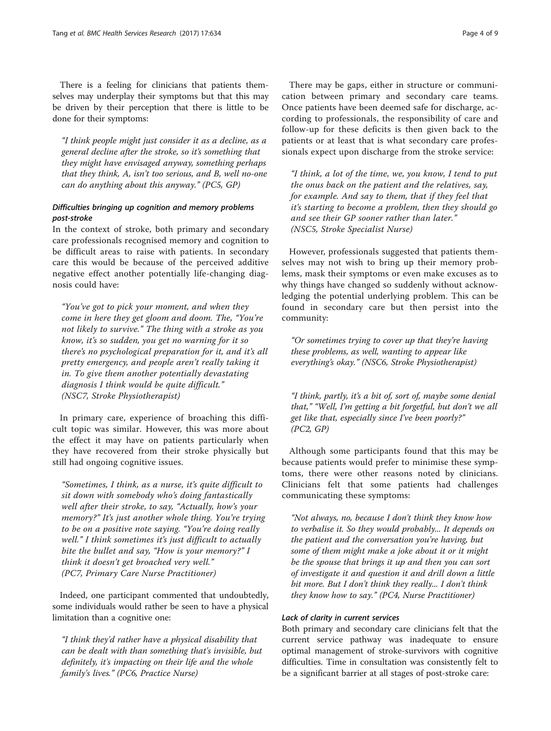There is a feeling for clinicians that patients themselves may underplay their symptoms but that this may be driven by their perception that there is little to be done for their symptoms:

"I think people might just consider it as a decline, as a general decline after the stroke, so it's something that they might have envisaged anyway, something perhaps that they think, A, isn't too serious, and B, well no-one can do anything about this anyway." (PC5, GP)

# Difficulties bringing up cognition and memory problems post-stroke

In the context of stroke, both primary and secondary care professionals recognised memory and cognition to be difficult areas to raise with patients. In secondary care this would be because of the perceived additive negative effect another potentially life-changing diagnosis could have:

"You've got to pick your moment, and when they come in here they get gloom and doom. The, "You're not likely to survive." The thing with a stroke as you know, it's so sudden, you get no warning for it so there's no psychological preparation for it, and it's all pretty emergency, and people aren't really taking it in. To give them another potentially devastating diagnosis I think would be quite difficult." (NSC7, Stroke Physiotherapist)

In primary care, experience of broaching this difficult topic was similar. However, this was more about the effect it may have on patients particularly when they have recovered from their stroke physically but still had ongoing cognitive issues.

"Sometimes, I think, as a nurse, it's quite difficult to sit down with somebody who's doing fantastically well after their stroke, to say, "Actually, how's your memory?" It's just another whole thing. You're trying to be on a positive note saying. "You're doing really well." I think sometimes it's just difficult to actually bite the bullet and say, "How is your memory?" I think it doesn't get broached very well." (PC7, Primary Care Nurse Practitioner)

Indeed, one participant commented that undoubtedly, some individuals would rather be seen to have a physical limitation than a cognitive one:

"I think they'd rather have a physical disability that can be dealt with than something that's invisible, but definitely, it's impacting on their life and the whole family's lives." (PC6, Practice Nurse)

There may be gaps, either in structure or communication between primary and secondary care teams. Once patients have been deemed safe for discharge, according to professionals, the responsibility of care and follow-up for these deficits is then given back to the patients or at least that is what secondary care professionals expect upon discharge from the stroke service:

"I think, a lot of the time, we, you know, I tend to put the onus back on the patient and the relatives, say, for example. And say to them, that if they feel that it's starting to become a problem, then they should go and see their GP sooner rather than later." (NSC5, Stroke Specialist Nurse)

However, professionals suggested that patients themselves may not wish to bring up their memory problems, mask their symptoms or even make excuses as to why things have changed so suddenly without acknowledging the potential underlying problem. This can be found in secondary care but then persist into the community:

"Or sometimes trying to cover up that they're having these problems, as well, wanting to appear like everything's okay." (NSC6, Stroke Physiotherapist)

"I think, partly, it's a bit of, sort of, maybe some denial that," "Well, I'm getting a bit forgetful, but don't we all get like that, especially since I've been poorly?" (PC2, GP)

Although some participants found that this may be because patients would prefer to minimise these symptoms, there were other reasons noted by clinicians. Clinicians felt that some patients had challenges communicating these symptoms:

"Not always, no, because I don't think they know how to verbalise it. So they would probably... It depends on the patient and the conversation you're having, but some of them might make a joke about it or it might be the spouse that brings it up and then you can sort of investigate it and question it and drill down a little bit more. But I don't think they really... I don't think they know how to say." (PC4, Nurse Practitioner)

### Lack of clarity in current services

Both primary and secondary care clinicians felt that the current service pathway was inadequate to ensure optimal management of stroke-survivors with cognitive difficulties. Time in consultation was consistently felt to be a significant barrier at all stages of post-stroke care: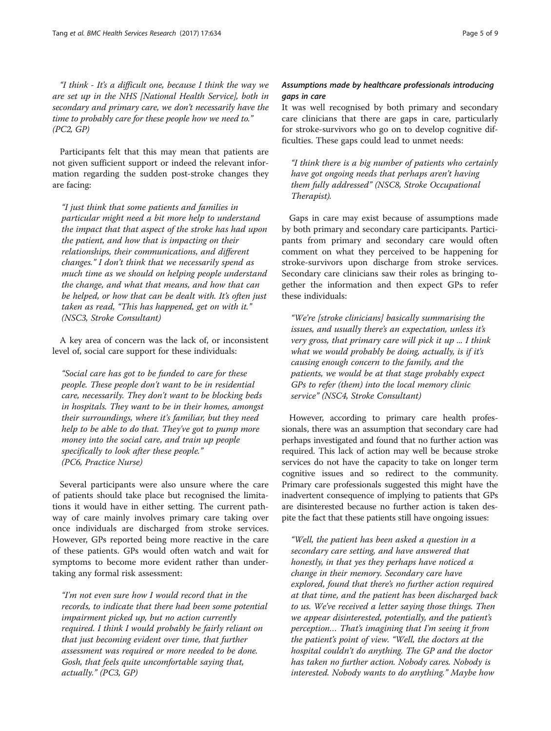"I think - It's a difficult one, because I think the way we are set up in the NHS [National Health Service], both in secondary and primary care, we don't necessarily have the time to probably care for these people how we need to." (PC2, GP)

Participants felt that this may mean that patients are not given sufficient support or indeed the relevant information regarding the sudden post-stroke changes they are facing:

"I just think that some patients and families in particular might need a bit more help to understand the impact that that aspect of the stroke has had upon the patient, and how that is impacting on their relationships, their communications, and different changes." I don't think that we necessarily spend as much time as we should on helping people understand the change, and what that means, and how that can be helped, or how that can be dealt with. It's often just taken as read, "This has happened, get on with it." (NSC3, Stroke Consultant)

A key area of concern was the lack of, or inconsistent level of, social care support for these individuals:

"Social care has got to be funded to care for these people. These people don't want to be in residential care, necessarily. They don't want to be blocking beds in hospitals. They want to be in their homes, amongst their surroundings, where it's familiar, but they need help to be able to do that. They've got to pump more money into the social care, and train up people specifically to look after these people." (PC6, Practice Nurse)

Several participants were also unsure where the care of patients should take place but recognised the limitations it would have in either setting. The current pathway of care mainly involves primary care taking over once individuals are discharged from stroke services. However, GPs reported being more reactive in the care of these patients. GPs would often watch and wait for symptoms to become more evident rather than undertaking any formal risk assessment:

"I'm not even sure how I would record that in the records, to indicate that there had been some potential impairment picked up, but no action currently required. I think I would probably be fairly reliant on that just becoming evident over time, that further assessment was required or more needed to be done. Gosh, that feels quite uncomfortable saying that, actually." (PC3, GP)

# Assumptions made by healthcare professionals introducing gaps in care

It was well recognised by both primary and secondary care clinicians that there are gaps in care, particularly for stroke-survivors who go on to develop cognitive difficulties. These gaps could lead to unmet needs:

"I think there is a big number of patients who certainly have got ongoing needs that perhaps aren't having them fully addressed" (NSC8, Stroke Occupational Therapist).

Gaps in care may exist because of assumptions made by both primary and secondary care participants. Participants from primary and secondary care would often comment on what they perceived to be happening for stroke-survivors upon discharge from stroke services. Secondary care clinicians saw their roles as bringing together the information and then expect GPs to refer these individuals:

"We're [stroke clinicians] basically summarising the issues, and usually there's an expectation, unless it's very gross, that primary care will pick it up ... I think what we would probably be doing, actually, is if it's causing enough concern to the family, and the patients, we would be at that stage probably expect GPs to refer (them) into the local memory clinic service" (NSC4, Stroke Consultant)

However, according to primary care health professionals, there was an assumption that secondary care had perhaps investigated and found that no further action was required. This lack of action may well be because stroke services do not have the capacity to take on longer term cognitive issues and so redirect to the community. Primary care professionals suggested this might have the inadvertent consequence of implying to patients that GPs are disinterested because no further action is taken despite the fact that these patients still have ongoing issues:

"Well, the patient has been asked a question in a secondary care setting, and have answered that honestly, in that yes they perhaps have noticed a change in their memory. Secondary care have explored, found that there's no further action required at that time, and the patient has been discharged back to us. We've received a letter saying those things. Then we appear disinterested, potentially, and the patient's perception… That's imagining that I'm seeing it from the patient's point of view. "Well, the doctors at the hospital couldn't do anything. The GP and the doctor has taken no further action. Nobody cares. Nobody is interested. Nobody wants to do anything." Maybe how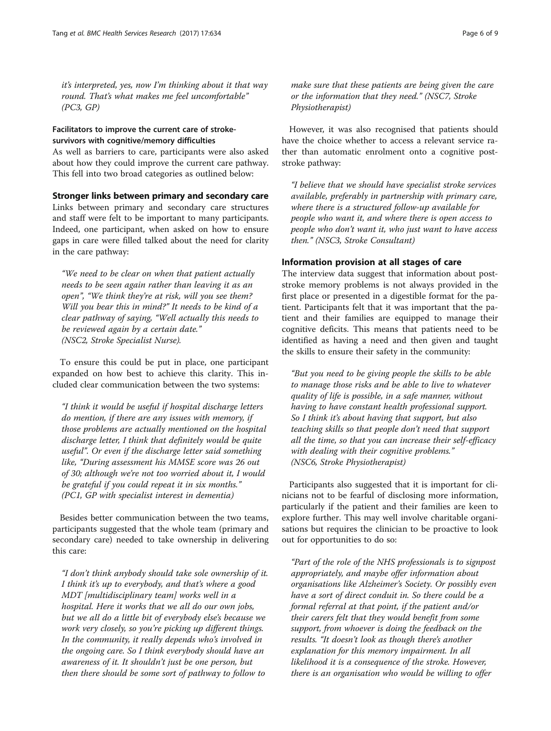it's interpreted, yes, now I'm thinking about it that way round. That's what makes me feel uncomfortable" (PC3, GP)

# Facilitators to improve the current care of strokesurvivors with cognitive/memory difficulties

As well as barriers to care, participants were also asked about how they could improve the current care pathway. This fell into two broad categories as outlined below:

Stronger links between primary and secondary care Links between primary and secondary care structures and staff were felt to be important to many participants. Indeed, one participant, when asked on how to ensure gaps in care were filled talked about the need for clarity in the care pathway:

"We need to be clear on when that patient actually needs to be seen again rather than leaving it as an open", "We think they're at risk, will you see them? Will you bear this in mind?" It needs to be kind of a clear pathway of saying, "Well actually this needs to be reviewed again by a certain date." (NSC2, Stroke Specialist Nurse).

To ensure this could be put in place, one participant expanded on how best to achieve this clarity. This included clear communication between the two systems:

"I think it would be useful if hospital discharge letters do mention, if there are any issues with memory, if those problems are actually mentioned on the hospital discharge letter, I think that definitely would be quite useful". Or even if the discharge letter said something like, "During assessment his MMSE score was 26 out of 30; although we're not too worried about it, I would be grateful if you could repeat it in six months." (PC1, GP with specialist interest in dementia)

Besides better communication between the two teams, participants suggested that the whole team (primary and secondary care) needed to take ownership in delivering this care:

"I don't think anybody should take sole ownership of it. I think it's up to everybody, and that's where a good MDT [multidisciplinary team] works well in a hospital. Here it works that we all do our own jobs, but we all do a little bit of everybody else's because we work very closely, so you're picking up different things. In the community, it really depends who's involved in the ongoing care. So I think everybody should have an awareness of it. It shouldn't just be one person, but then there should be some sort of pathway to follow to

make sure that these patients are being given the care or the information that they need." (NSC7, Stroke Physiotherapist)

However, it was also recognised that patients should have the choice whether to access a relevant service rather than automatic enrolment onto a cognitive poststroke pathway:

"I believe that we should have specialist stroke services available, preferably in partnership with primary care, where there is a structured follow-up available for people who want it, and where there is open access to people who don't want it, who just want to have access then." (NSC3, Stroke Consultant)

# Information provision at all stages of care

The interview data suggest that information about poststroke memory problems is not always provided in the first place or presented in a digestible format for the patient. Participants felt that it was important that the patient and their families are equipped to manage their cognitive deficits. This means that patients need to be identified as having a need and then given and taught the skills to ensure their safety in the community:

"But you need to be giving people the skills to be able to manage those risks and be able to live to whatever quality of life is possible, in a safe manner, without having to have constant health professional support. So I think it's about having that support, but also teaching skills so that people don't need that support all the time, so that you can increase their self-efficacy with dealing with their cognitive problems." (NSC6, Stroke Physiotherapist)

Participants also suggested that it is important for clinicians not to be fearful of disclosing more information, particularly if the patient and their families are keen to explore further. This may well involve charitable organisations but requires the clinician to be proactive to look out for opportunities to do so:

"Part of the role of the NHS professionals is to signpost appropriately, and maybe offer information about organisations like Alzheimer's Society. Or possibly even have a sort of direct conduit in. So there could be a formal referral at that point, if the patient and/or their carers felt that they would benefit from some support, from whoever is doing the feedback on the results. "It doesn't look as though there's another explanation for this memory impairment. In all likelihood it is a consequence of the stroke. However, there is an organisation who would be willing to offer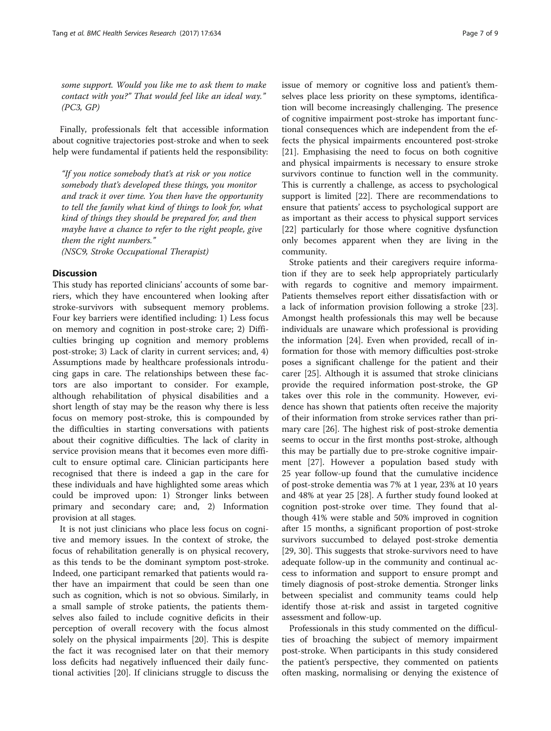some support. Would you like me to ask them to make contact with you?" That would feel like an ideal way." (PC3, GP)

Finally, professionals felt that accessible information about cognitive trajectories post-stroke and when to seek help were fundamental if patients held the responsibility:

"If you notice somebody that's at risk or you notice somebody that's developed these things, you monitor and track it over time. You then have the opportunity to tell the family what kind of things to look for, what kind of things they should be prepared for, and then maybe have a chance to refer to the right people, give them the right numbers."

(NSC9, Stroke Occupational Therapist)

# **Discussion**

This study has reported clinicians' accounts of some barriers, which they have encountered when looking after stroke-survivors with subsequent memory problems. Four key barriers were identified including: 1) Less focus on memory and cognition in post-stroke care; 2) Difficulties bringing up cognition and memory problems post-stroke; 3) Lack of clarity in current services; and, 4) Assumptions made by healthcare professionals introducing gaps in care. The relationships between these factors are also important to consider. For example, although rehabilitation of physical disabilities and a short length of stay may be the reason why there is less focus on memory post-stroke, this is compounded by the difficulties in starting conversations with patients about their cognitive difficulties. The lack of clarity in service provision means that it becomes even more difficult to ensure optimal care. Clinician participants here recognised that there is indeed a gap in the care for these individuals and have highlighted some areas which could be improved upon: 1) Stronger links between primary and secondary care; and, 2) Information provision at all stages.

It is not just clinicians who place less focus on cognitive and memory issues. In the context of stroke, the focus of rehabilitation generally is on physical recovery, as this tends to be the dominant symptom post-stroke. Indeed, one participant remarked that patients would rather have an impairment that could be seen than one such as cognition, which is not so obvious. Similarly, in a small sample of stroke patients, the patients themselves also failed to include cognitive deficits in their perception of overall recovery with the focus almost solely on the physical impairments [\[20](#page-9-0)]. This is despite the fact it was recognised later on that their memory loss deficits had negatively influenced their daily functional activities [\[20\]](#page-9-0). If clinicians struggle to discuss the issue of memory or cognitive loss and patient's themselves place less priority on these symptoms, identification will become increasingly challenging. The presence of cognitive impairment post-stroke has important functional consequences which are independent from the effects the physical impairments encountered post-stroke [[21\]](#page-9-0). Emphasising the need to focus on both cognitive and physical impairments is necessary to ensure stroke survivors continue to function well in the community. This is currently a challenge, as access to psychological support is limited [\[22](#page-9-0)]. There are recommendations to ensure that patients' access to psychological support are as important as their access to physical support services [[22\]](#page-9-0) particularly for those where cognitive dysfunction only becomes apparent when they are living in the community.

Stroke patients and their caregivers require information if they are to seek help appropriately particularly with regards to cognitive and memory impairment. Patients themselves report either dissatisfaction with or a lack of information provision following a stroke [\[23](#page-9-0)]. Amongst health professionals this may well be because individuals are unaware which professional is providing the information [\[24](#page-9-0)]. Even when provided, recall of information for those with memory difficulties post-stroke poses a significant challenge for the patient and their carer [\[25](#page-9-0)]. Although it is assumed that stroke clinicians provide the required information post-stroke, the GP takes over this role in the community. However, evidence has shown that patients often receive the majority of their information from stroke services rather than primary care [[26\]](#page-9-0). The highest risk of post-stroke dementia seems to occur in the first months post-stroke, although this may be partially due to pre-stroke cognitive impairment [[27\]](#page-9-0). However a population based study with 25 year follow-up found that the cumulative incidence of post-stroke dementia was 7% at 1 year, 23% at 10 years and 48% at year 25 [\[28\]](#page-9-0). A further study found looked at cognition post-stroke over time. They found that although 41% were stable and 50% improved in cognition after 15 months, a significant proportion of post-stroke survivors succumbed to delayed post-stroke dementia [[29, 30\]](#page-9-0). This suggests that stroke-survivors need to have adequate follow-up in the community and continual access to information and support to ensure prompt and timely diagnosis of post-stroke dementia. Stronger links between specialist and community teams could help identify those at-risk and assist in targeted cognitive assessment and follow-up.

Professionals in this study commented on the difficulties of broaching the subject of memory impairment post-stroke. When participants in this study considered the patient's perspective, they commented on patients often masking, normalising or denying the existence of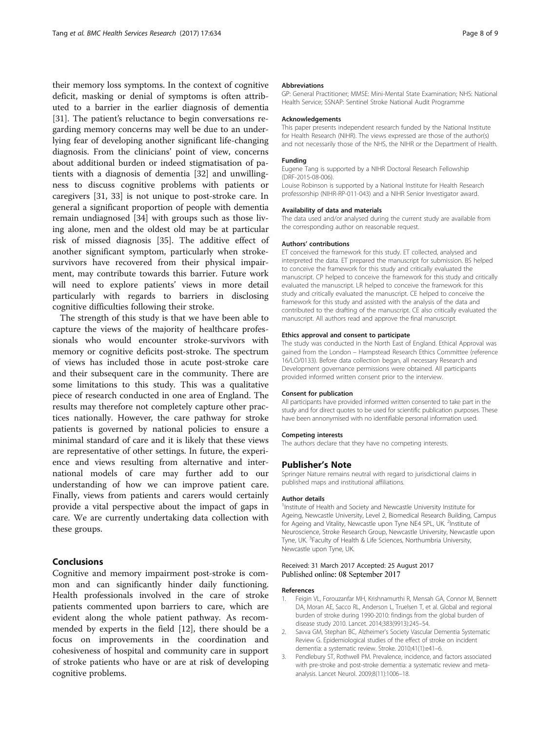<span id="page-8-0"></span>their memory loss symptoms. In the context of cognitive deficit, masking or denial of symptoms is often attributed to a barrier in the earlier diagnosis of dementia [[31\]](#page-9-0). The patient's reluctance to begin conversations regarding memory concerns may well be due to an underlying fear of developing another significant life-changing diagnosis. From the clinicians' point of view, concerns about additional burden or indeed stigmatisation of patients with a diagnosis of dementia [[32\]](#page-9-0) and unwillingness to discuss cognitive problems with patients or caregivers [\[31](#page-9-0), [33\]](#page-9-0) is not unique to post-stroke care. In general a significant proportion of people with dementia remain undiagnosed [\[34](#page-9-0)] with groups such as those living alone, men and the oldest old may be at particular risk of missed diagnosis [[35](#page-9-0)]. The additive effect of another significant symptom, particularly when strokesurvivors have recovered from their physical impairment, may contribute towards this barrier. Future work will need to explore patients' views in more detail particularly with regards to barriers in disclosing cognitive difficulties following their stroke.

The strength of this study is that we have been able to capture the views of the majority of healthcare professionals who would encounter stroke-survivors with memory or cognitive deficits post-stroke. The spectrum of views has included those in acute post-stroke care and their subsequent care in the community. There are some limitations to this study. This was a qualitative piece of research conducted in one area of England. The results may therefore not completely capture other practices nationally. However, the care pathway for stroke patients is governed by national policies to ensure a minimal standard of care and it is likely that these views are representative of other settings. In future, the experience and views resulting from alternative and international models of care may further add to our understanding of how we can improve patient care. Finally, views from patients and carers would certainly provide a vital perspective about the impact of gaps in care. We are currently undertaking data collection with these groups.

# Conclusions

Cognitive and memory impairment post-stroke is common and can significantly hinder daily functioning. Health professionals involved in the care of stroke patients commented upon barriers to care, which are evident along the whole patient pathway. As recommended by experts in the field [\[12\]](#page-9-0), there should be a focus on improvements in the coordination and cohesiveness of hospital and community care in support of stroke patients who have or are at risk of developing cognitive problems.

#### Abbreviations

GP: General Practitioner; MMSE: Mini-Mental State Examination; NHS: National Health Service; SSNAP: Sentinel Stroke National Audit Programme

#### Acknowledgements

This paper presents independent research funded by the National Institute for Health Research (NIHR). The views expressed are those of the author(s) and not necessarily those of the NHS, the NIHR or the Department of Health.

#### Funding

Eugene Tang is supported by a NIHR Doctoral Research Fellowship (DRF-2015-08-006).

Louise Robinson is supported by a National Institute for Health Research professorship (NIHR-RP-011-043) and a NIHR Senior Investigator award.

#### Availability of data and materials

The data used and/or analysed during the current study are available from the corresponding author on reasonable request.

#### Authors' contributions

ET conceived the framework for this study. ET collected, analysed and interpreted the data. ET prepared the manuscript for submission. BS helped to conceive the framework for this study and critically evaluated the manuscript. CP helped to conceive the framework for this study and critically evaluated the manuscript. LR helped to conceive the framework for this study and critically evaluated the manuscript. CE helped to conceive the framework for this study and assisted with the analysis of the data and contributed to the drafting of the manuscript. CE also critically evaluated the manuscript. All authors read and approve the final manuscript.

#### Ethics approval and consent to participate

The study was conducted in the North East of England. Ethical Approval was gained from the London – Hampstead Research Ethics Committee (reference 16/LO/0133). Before data collection began, all necessary Research and Development governance permissions were obtained. All participants provided informed written consent prior to the interview.

#### Consent for publication

All participants have provided informed written consented to take part in the study and for direct quotes to be used for scientific publication purposes. These have been annonymised with no identifiable personal information used.

#### Competing interests

The authors declare that they have no competing interests.

#### Publisher's Note

Springer Nature remains neutral with regard to jurisdictional claims in published maps and institutional affiliations.

#### Author details

<sup>1</sup>Institute of Health and Society and Newcastle University Institute for Ageing, Newcastle University, Level 2, Biomedical Research Building, Campus for Ageing and Vitality, Newcastle upon Tyne NE4 5PL, UK.<sup>2</sup>Institute of Neuroscience, Stroke Research Group, Newcastle University, Newcastle upon Tyne, UK.<sup>3</sup> Faculty of Health & Life Sciences, Northumbria University Newcastle upon Tyne, UK.

## Received: 31 March 2017 Accepted: 25 August 2017 Published online: 08 September 2017

#### References

- 1. Feigin VL, Forouzanfar MH, Krishnamurthi R, Mensah GA, Connor M, Bennett DA, Moran AE, Sacco RL, Anderson L, Truelsen T, et al. Global and regional burden of stroke during 1990-2010: findings from the global burden of disease study 2010. Lancet. 2014;383(9913):245–54.
- 2. Savva GM, Stephan BC, Alzheimer's Society Vascular Dementia Systematic Review G. Epidemiological studies of the effect of stroke on incident dementia: a systematic review. Stroke. 2010;41(1):e41–6.
- 3. Pendlebury ST, Rothwell PM. Prevalence, incidence, and factors associated with pre-stroke and post-stroke dementia: a systematic review and metaanalysis. Lancet Neurol. 2009;8(11):1006–18.